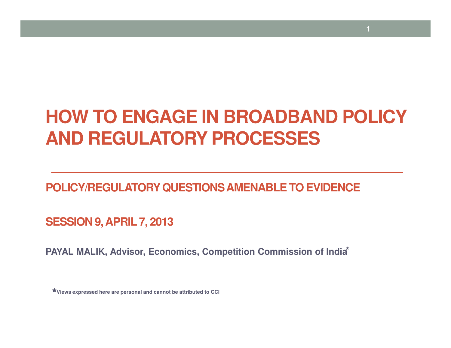#### **HOW TO ENGAGE IN BROADBAND POLICYAND REGULATORY PROCESSES**

**1**

**POLICY/REGULATORY QUESTIONS AMENABLE TO EVIDENCE** 

**SESSION 9, APRIL 7, 2013**

**PAYAL MALIK, Advisor, Economics, Competition Commission of India®** 

★**Views expressed here are personal and cannot be attributed to CCI**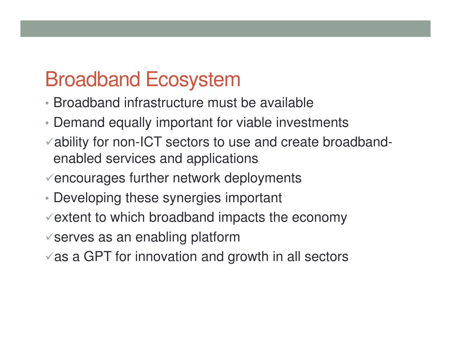## Broadband Ecosystem

- Broadband infrastructure must be available
- Demand equally important for viable investments
- ability for non-ICT sectors to use and create broadbandenabled services and applications
- $\checkmark$  encourages further network deployments
- Developing these synergies important
- $\checkmark$  extent to which broadband impacts the economy
- $\checkmark$  serves as an enabling platform
- $\checkmark$  as a GPT for innovation and growth in all sectors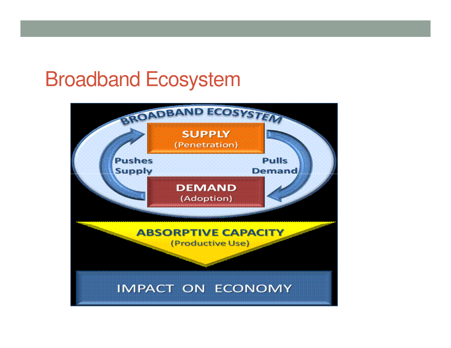#### Broadband Ecosystem

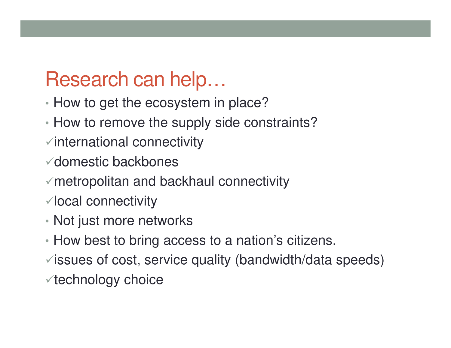### Research can help…

- ⊓OW IO UEL INE ECOSVSIEN How to get the ecosystem in place?
- •How to remove the supply side constraints?
- $\checkmark$  international connectivity
- domestic backbones
- metropolitan and backhaul connectivity
- $\checkmark$  local connectivity
- Not just more networks
- How best to bring access to a nation's citizens.
- $\checkmark$  issues of cost, service quality (bandwidth/data speeds)
- $\checkmark$  technology choice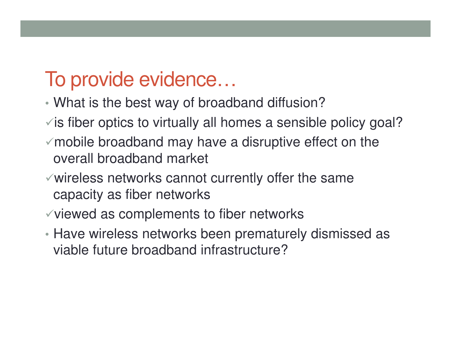## To provide evidence…

- Wilders the best way of pro What is the best way of broadband diffusion?
- $\checkmark$  is fiber optics to virtually all homes a sensible policy goal?
- $\checkmark$  mobile broadband may have a disruptive effect on the overall broadband market
- $\checkmark$  wireless networks cannot currently offer the same capacity as fiber networks
- $\checkmark$  viewed as complements to fiber networks
- Have wireless networks been prematurely dismissed as viable future broadband infrastructure?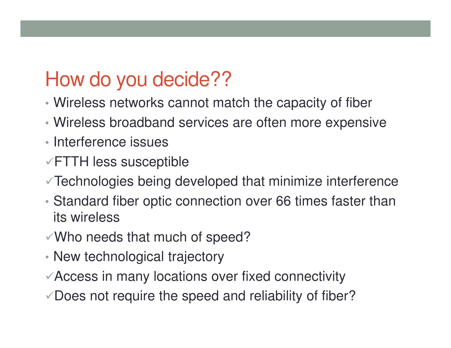## How do you decide??

- Wireless networks cannot match the capacity of fiber
- Wireless broadband services are often more expensive
- Interference issues
- $\sqrt{FTTH}$  less susceptible
- Technologies being developed that minimize interference
- • Standard fiber optic connection over 66 times faster thanits wireless
- $\checkmark$  Who needs that much of speed?
- New technological trajectory
- Access in many locations over fixed connectivity
- $\sqrt{2}$  Does not require the speed and reliability of fiber?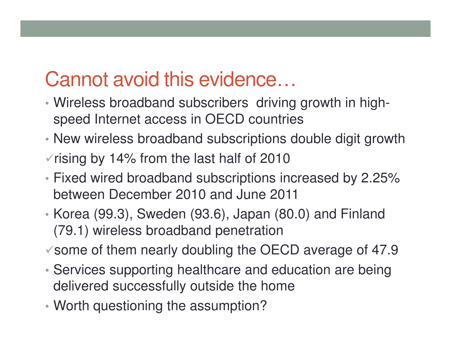## Cannot avoid this evidence…

- Wireless broadband subscribers driving growth in highspeed Internet access in OECD countries
- New wireless broadband subscriptions double digit growth
- $\sqrt{r}$  rising by 14% from the last half of 2010
- Fixed wired broadband subscriptions increased by 2.25% between December 2010 and June 2011
- • Korea (99.3), Sweden (93.6), Japan (80.0) and Finland (79.1) wireless broadband penetration
- $\checkmark$  some of them nearly doubling the OECD average of 47.9
- • Services supporting healthcare and education are being delivered successfully outside the home
- •Worth questioning the assumption?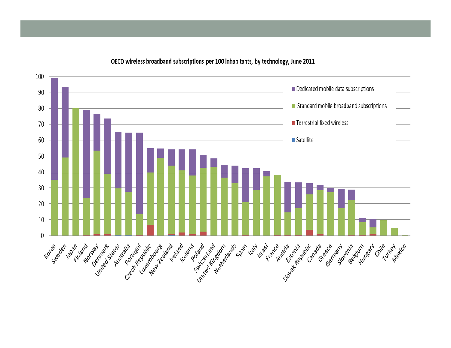

OECD wireless broadband subscriptions per 100 inhabitants, by technology, June 2011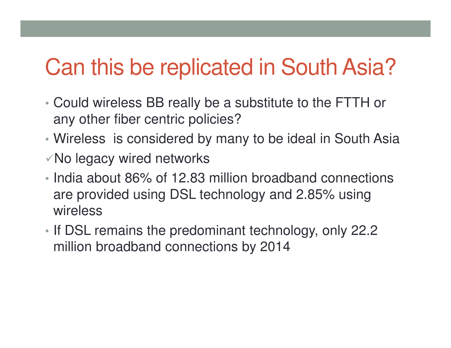# Can this be replicated in South Asia?

- • Could wireless BB really be a substitute to the FTTH or any other fiber centric policies?
- •Wireless is considered by many to be ideal in South Asia
- $\sqrt{N}$ o legacy wired networks
- India about 86% of 12.83 million broadband connections are provided using DSL technology and 2.85% using wireless
- •If DSL remains the predominant technology, only 22.2 million broadband connections by 2014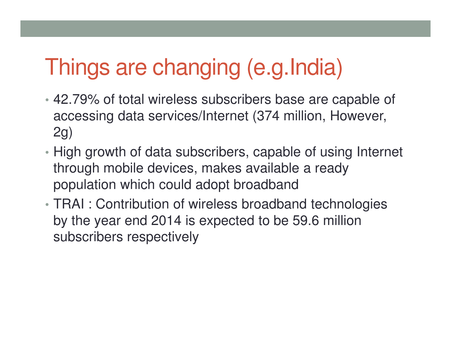# Things are changing (e.g.India)

- 42.79% of total wireless subscribers base are capable of accessing data services/Internet (374 million, However, 2g)
- High growth of data subscribers, capable of using Internet through mobile devices, makes available a ready population which could adopt broadband
- • TRAI : Contribution of wireless broadband technologies by the year end 2014 is expected to be 59.6 million subscribers respectively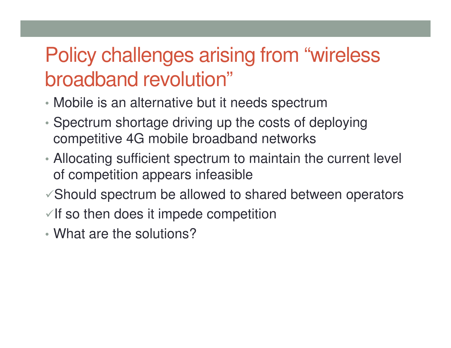## Policy challenges arising from "wireless broadband revolution"

- Mobile is an alternative but it needs spectrum
- $\bullet$  Snectrum shortage driving up the costs of d Spectrum shortage driving up the costs of deploying competitive 4G mobile broadband networks
- Allocating sufficient spectrum to maintain the current level of competition appears infeasible
- $\sqrt{s}$  Should spectrum be allowed to shared between operators
- $\sqrt{1}$  so then does it impede competition
- •What are the solutions?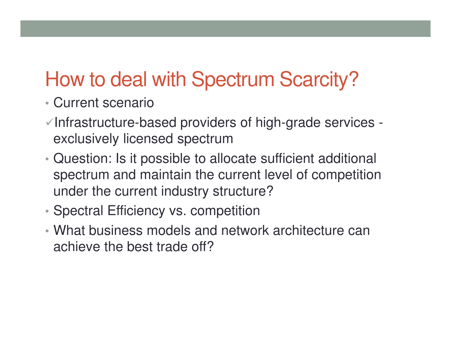## How to deal with Spectrum Scarcity?

- •Current scenario
- $\checkmark$  Infrastructure-based providers of high-grade services exclusively licensed spectrum
- Wilestion: Is it nossible to all Question: Is it possible to allocate sufficient additional spectrum and maintain the current level of competition under the current industry structure?
- •Spectral Efficiency vs. competition
- What business models and network architecture can achieve the best trade off?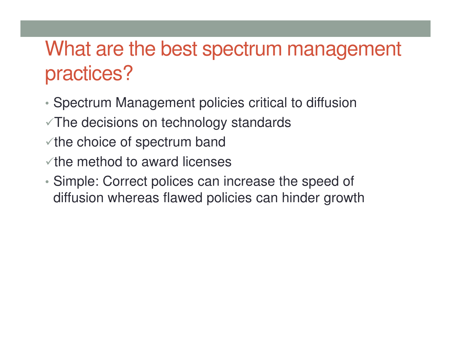## What are the best spectrum management practices?

- •Spectrum Management policies critical to diffusion
- $\sqrt{T}$ he decisions on technology standards
- $\checkmark$  the choice of spectrum band
- $\checkmark$  the method to award licenses
- • Simple: Correct polices can increase the speed of diffusion whereas flawed policies can hinder growth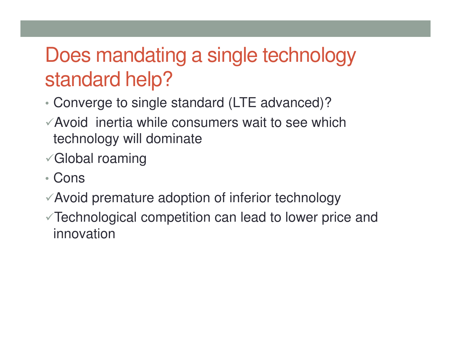## Does mandating a single technology standard help?

- Converge to single Converge to single standard (LTE advanced)?
- Avoid inertia while consumers wait to see which technology will dominate
- Global roaming
- •Cons
- Avoid premature adoption of inferior technology
- Technological competition can lead to lower price and innovation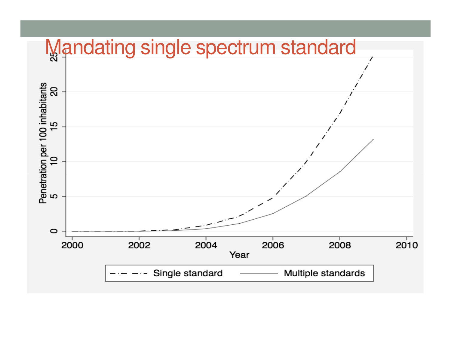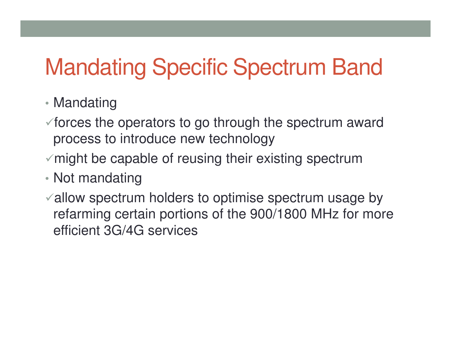# Mandating Specific Spectrum Band

#### • Mandating

- $\checkmark$  forces the operators to go through the spectrum award process to introduce new technology
- $\checkmark$  might be capable of reusing their existing spectrum
- Not mandating
- allow spectrum holders to optimise spectrum usage by refarming certain portions of the 900/1800 MHz for moreefficient 3G/4G services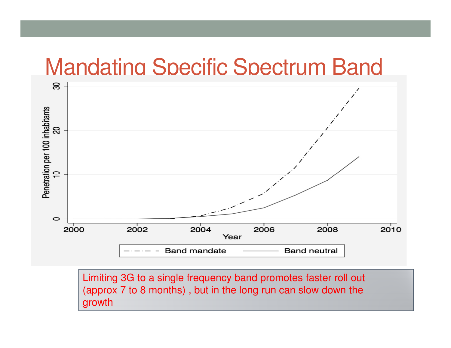#### Mandating Specific Spectrum Band



Limiting 3G to a single frequency band promotes faster roll out (approx 7 to 8 months) , but in the long run can slow down thegrowth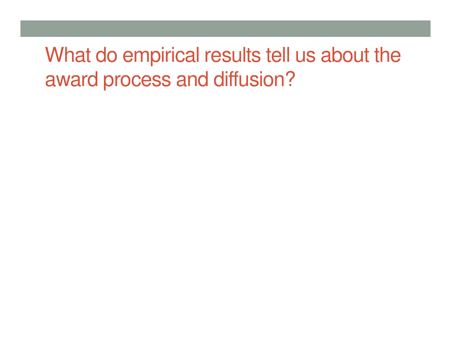## What do empirical results tell us about the award process and diffusion?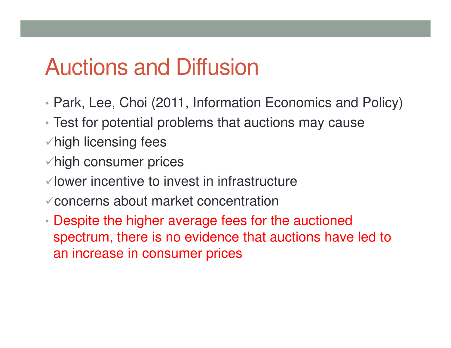# Auctions and Diffusion

- •Park, Lee, Choi (2011, Information Economics and Policy)
- Test for potential problems that auctions may cause
- $\checkmark$  high licensing fees
- $\checkmark$  high consumer prices
- $\checkmark$  lower incentive to invest in infrastructure
- concerns about market concentration
- Despite the higher average fees for the auctioned spectrum, there is no evidence that auctions have led to an increase in consumer prices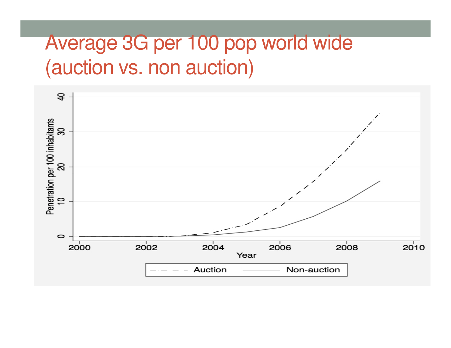## Average 3G per 100 pop world wide (auction vs. non auction)

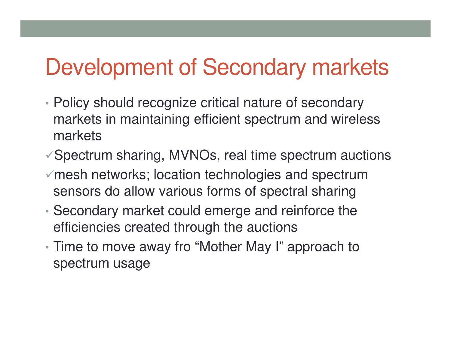# Development of Secondary markets

- Policy should recognize critical nature of secondary markets in maintaining efficient spectrum and wireless markets
- $\sqrt{S}$  Spectrum sharing, MVNOs, real time spectrum auctions
- $\checkmark$  mesh networks; location technologies and spectrum sensors do allow various forms of spectral sharing
- • Secondary market could emerge and reinforce the efficiencies created through the auctions
- Time to move away fro "Mother May I" approach to spectrum usage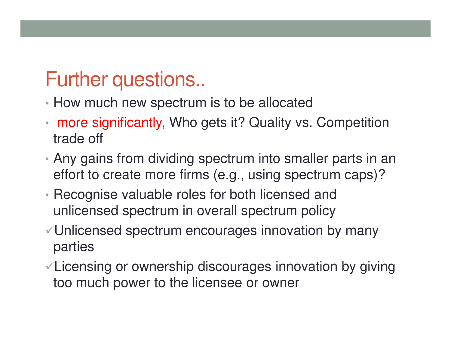## Further questions..

- How much new spectrum is to be allocated
- • more significantly, Who gets it? Quality vs. Competition trade off
- Any gains from dividing spectrum into smaller parts in an effort to create more firms (e.g., using spectrum caps)?
- Recognise valuable roles for both licensed and unlicensed spectrum in overall spectrum policy
- Unlicensed spectrum encourages innovation by many parties
- Licensing or ownership discourages innovation by giving too much power to the licensee or owner